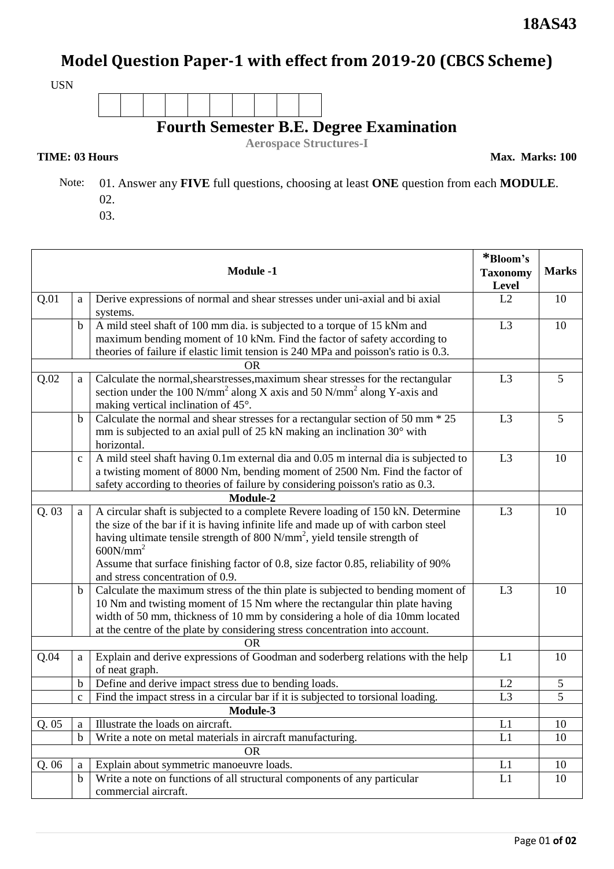## **Model Question Paper-1 with effect from 2019-20 (CBCS Scheme)**

USN



**Aerospace Structures-I**

**TIME: 03 Hours** Max. Marks: 100

 Note: 01. Answer any **FIVE** full questions, choosing at least **ONE** question from each **MODULE**. 02.

03.

| <b>Module -1</b> |              |                                                                                                                                                                                                                                                                                                                                                                             | *Bloom's<br><b>Taxonomy</b><br>Level | <b>Marks</b>   |
|------------------|--------------|-----------------------------------------------------------------------------------------------------------------------------------------------------------------------------------------------------------------------------------------------------------------------------------------------------------------------------------------------------------------------------|--------------------------------------|----------------|
| Q.01             | a            | Derive expressions of normal and shear stresses under uni-axial and bi axial<br>systems.                                                                                                                                                                                                                                                                                    | L2                                   | 10             |
|                  | b            | A mild steel shaft of 100 mm dia. is subjected to a torque of 15 kNm and<br>maximum bending moment of 10 kNm. Find the factor of safety according to                                                                                                                                                                                                                        | L <sub>3</sub>                       | 10             |
|                  |              | theories of failure if elastic limit tension is 240 MPa and poisson's ratio is 0.3.<br>0R                                                                                                                                                                                                                                                                                   |                                      |                |
| Q.02             | a            | Calculate the normal, shearstresses, maximum shear stresses for the rectangular<br>section under the 100 N/mm <sup>2</sup> along X axis and 50 N/mm <sup>2</sup> along Y-axis and<br>making vertical inclination of 45°.                                                                                                                                                    | L <sub>3</sub>                       | 5              |
|                  | b            | Calculate the normal and shear stresses for a rectangular section of 50 mm $*$ 25<br>mm is subjected to an axial pull of 25 kN making an inclination 30° with<br>horizontal.                                                                                                                                                                                                | L <sub>3</sub>                       | 5              |
|                  | $\mathbf c$  | A mild steel shaft having 0.1m external dia and 0.05 m internal dia is subjected to<br>a twisting moment of 8000 Nm, bending moment of 2500 Nm. Find the factor of<br>safety according to theories of failure by considering poisson's ratio as 0.3.                                                                                                                        | L <sub>3</sub>                       | 10             |
| Module-2         |              |                                                                                                                                                                                                                                                                                                                                                                             |                                      |                |
| Q.03             | a            | A circular shaft is subjected to a complete Revere loading of 150 kN. Determine<br>the size of the bar if it is having infinite life and made up of with carbon steel<br>having ultimate tensile strength of 800 N/mm <sup>2</sup> , yield tensile strength of<br>600N/mm <sup>2</sup><br>Assume that surface finishing factor of 0.8, size factor 0.85, reliability of 90% | L <sub>3</sub>                       | 10             |
|                  | b            | and stress concentration of 0.9.<br>Calculate the maximum stress of the thin plate is subjected to bending moment of<br>10 Nm and twisting moment of 15 Nm where the rectangular thin plate having<br>width of 50 mm, thickness of 10 mm by considering a hole of dia 10mm located<br>at the centre of the plate by considering stress concentration into account.          | L <sub>3</sub>                       | 10             |
| Q.04             |              | <b>OR</b><br>Explain and derive expressions of Goodman and soderberg relations with the help                                                                                                                                                                                                                                                                                | L1                                   | 10             |
|                  | a            | of neat graph.                                                                                                                                                                                                                                                                                                                                                              |                                      |                |
|                  | b            | Define and derive impact stress due to bending loads.                                                                                                                                                                                                                                                                                                                       | L2                                   | $\mathfrak{S}$ |
|                  | $\mathbf{C}$ | Find the impact stress in a circular bar if it is subjected to torsional loading.                                                                                                                                                                                                                                                                                           | L <sub>3</sub>                       | 5              |
|                  |              | Module-3                                                                                                                                                                                                                                                                                                                                                                    |                                      |                |
| Q.05             | a            | Illustrate the loads on aircraft.                                                                                                                                                                                                                                                                                                                                           | L1                                   | 10             |
|                  | $\mathbf b$  | Write a note on metal materials in aircraft manufacturing.<br><b>OR</b>                                                                                                                                                                                                                                                                                                     | L1                                   | 10             |
| Q.06             | a            | Explain about symmetric manoeuvre loads.                                                                                                                                                                                                                                                                                                                                    | L1                                   | 10             |
|                  | $\mathbf b$  | Write a note on functions of all structural components of any particular<br>commercial aircraft.                                                                                                                                                                                                                                                                            | L1                                   | 10             |